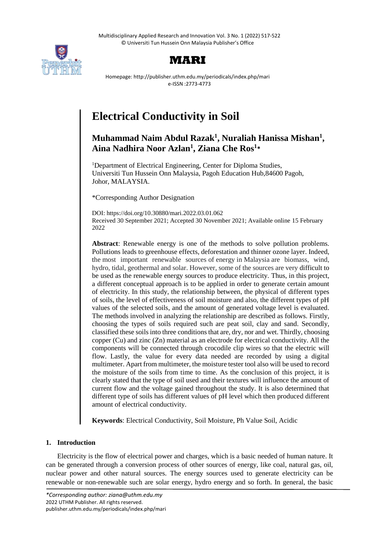Multidisciplinary Applied Research and Innovation Vol. 3 No. 1 (2022) 517-522 © Universiti Tun Hussein Onn Malaysia Publisher's Office





Homepage: http://publisher.uthm.edu.my/periodicals/index.php/mari e-ISSN :2773-4773

# **Electrical Conductivity in Soil**

# **Muhammad Naim Abdul Razak<sup>1</sup> , Nuraliah Hanissa Mishan<sup>1</sup> , Aina Nadhira Noor Azlan<sup>1</sup> , Ziana Che Ros<sup>1</sup> \***

<sup>1</sup>Department of Electrical Engineering, Center for Diploma Studies, Universiti Tun Hussein Onn Malaysia, Pagoh Education Hub,84600 Pagoh, Johor, MALAYSIA.

\*Corresponding Author Designation

DOI: https://doi.org/10.30880/mari.2022.03.01.062 Received 30 September 2021; Accepted 30 November 2021; Available online 15 February 2022

**Abstract**: Renewable energy is one of the methods to solve pollution problems. Pollutions leads to greenhouse effects, deforestation and thinner ozone layer. Indeed, the most important renewable sources of energy in Malaysia are biomass, wind, hydro, tidal, geothermal and solar. However, some of the sources are very difficult to be used as the renewable energy sources to produce electricity. Thus, in this project, a different conceptual approach is to be applied in order to generate certain amount of electricity. In this study, the relationship between, the physical of different types of soils, the level of effectiveness of soil moisture and also, the different types of pH values of the selected soils, and the amount of generated voltage level is evaluated. The methods involved in analyzing the relationship are described as follows. Firstly, choosing the types of soils required such are peat soil, clay and sand. Secondly, classified these soils into three conditions that are, dry, nor and wet. Thirdly, choosing copper (Cu) and zinc (Zn) material as an electrode for electrical conductivity. All the components will be connected through crocodile clip wires so that the electric will flow. Lastly, the value for every data needed are recorded by using a digital multimeter. Apart from multimeter, the moisture tester tool also will be used to record the moisture of the soils from time to time. As the conclusion of this project, it is clearly stated that the type of soil used and their textures will influence the amount of current flow and the voltage gained throughout the study. It is also determined that different type of soils has different values of pH level which then produced different amount of electrical conductivity.

**Keywords**: Electrical Conductivity, Soil Moisture, Ph Value Soil, Acidic

# **1. Introduction**

Electricity is the flow of electrical power and charges, which is a basic needed of human nature. It can be generated through a conversion process of other sources of energy, like coal, natural gas, oil, nuclear power and other natural sources. The energy sources used to generate electricity can be renewable or non-renewable such are solar energy, hydro energy and so forth. In general, the basic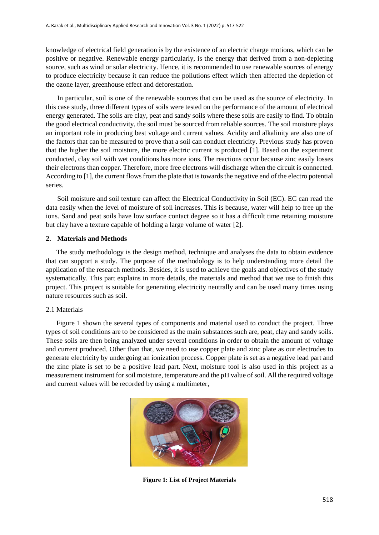knowledge of electrical field generation is by the existence of an electric charge motions, which can be positive or negative. Renewable energy particularly, is the energy that derived from a non-depleting source, such as wind or solar electricity. Hence, it is recommended to use renewable sources of energy to produce electricity because it can reduce the pollutions effect which then affected the depletion of the ozone layer, greenhouse effect and deforestation.

In particular, soil is one of the renewable sources that can be used as the source of electricity. In this case study, three different types of soils were tested on the performance of the amount of electrical energy generated. The soils are clay, peat and sandy soils where these soils are easily to find. To obtain the good electrical conductivity, the soil must be sourced from reliable sources. The soil moisture plays an important role in producing best voltage and current values. Acidity and alkalinity are also one of the factors that can be measured to prove that a soil can conduct electricity. Previous study has proven that the higher the soil moisture, the more electric current is produced [1]. Based on the experiment conducted, clay soil with wet conditions has more ions. The reactions occur because zinc easily losses their electrons than copper. Therefore, more free electrons will discharge when the circuit is connected. According to [1], the current flows from the plate that is towards the negative end of the electro potential series.

Soil moisture and soil texture can affect the Electrical Conductivity in Soil (EC). EC can read the data easily when the level of moisture of soil increases. This is because, water will help to free up the ions. Sand and peat soils have low surface contact degree so it has a difficult time retaining moisture but clay have a texture capable of holding a large volume of water [2].

# **2. Materials and Methods**

The study methodology is the design method, technique and analyses the data to obtain evidence that can support a study. The purpose of the methodology is to help understanding more detail the application of the research methods. Besides, it is used to achieve the goals and objectives of the study systematically. This part explains in more details, the materials and method that we use to finish this project. This project is suitable for generating electricity neutrally and can be used many times using nature resources such as soil.

# 2.1 Materials

 Figure 1 shown the several types of components and material used to conduct the project. Three types of soil conditions are to be considered as the main substances such are, peat, clay and sandy soils. These soils are then being analyzed under several conditions in order to obtain the amount of voltage and current produced. Other than that, we need to use copper plate and zinc plate as our electrodes to generate electricity by undergoing an ionization process. Copper plate is set as a negative lead part and the zinc plate is set to be a positive lead part. Next, moisture tool is also used in this project as a measurement instrument for soil moisture, temperature and the pH value of soil. All the required voltage and current values will be recorded by using a multimeter,



**Figure 1: List of Project Materials**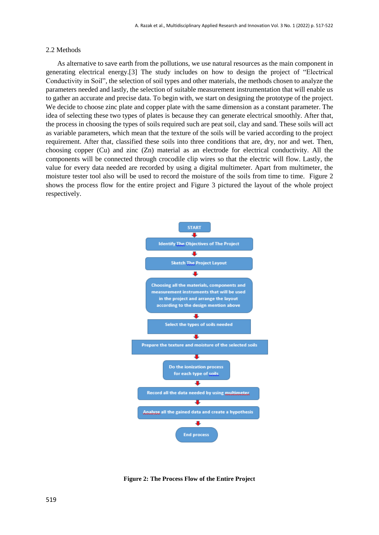#### 2.2 Methods

As alternative to save earth from the pollutions, we use natural resources as the main component in generating electrical energy.[3] The study includes on how to design the project of "Electrical Conductivity in Soil", the selection of soil types and other materials, the methods chosen to analyze the parameters needed and lastly, the selection of suitable measurement instrumentation that will enable us to gather an accurate and precise data. To begin with, we start on designing the prototype of the project. We decide to choose zinc plate and copper plate with the same dimension as a constant parameter. The idea of selecting these two types of plates is because they can generate electrical smoothly. After that, the process in choosing the types of soils required such are peat soil, clay and sand. These soils will act as variable parameters, which mean that the texture of the soils will be varied according to the project requirement. After that, classified these soils into three conditions that are, dry, nor and wet. Then, choosing copper (Cu) and zinc (Zn) material as an electrode for electrical conductivity. All the components will be connected through crocodile clip wires so that the electric will flow. Lastly, the value for every data needed are recorded by using a digital multimeter. Apart from multimeter, the moisture tester tool also will be used to record the moisture of the soils from time to time. Figure 2 shows the process flow for the entire project and Figure 3 pictured the layout of the whole project respectively.



**Figure 2: The Process Flow of the Entire Project**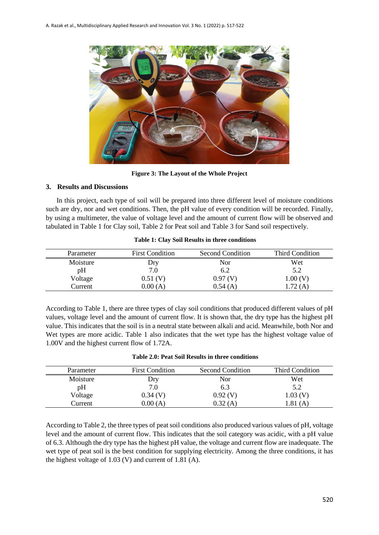

**Figure 3: The Layout of the Whole Project**

# **3. Results and Discussions**

In this project, each type of soil will be prepared into three different level of moisture conditions such are dry, nor and wet conditions. Then, the pH value of every condition will be recorded. Finally, by using a multimeter, the value of voltage level and the amount of current flow will be observed and tabulated in Table 1 for Clay soil, Table 2 for Peat soil and Table 3 for Sand soil respectively.

| Parameter | <b>First Condition</b> | Second Condition | <b>Third Condition</b> |
|-----------|------------------------|------------------|------------------------|
| Moisture  | Dry                    | Nor              | Wet                    |
| pH        | 7.0                    | 6.2              | 5.2                    |
| Voltage   | $0.51$ (V)             | 0.97(V)          | 1.00(V)                |
| Current   | $0.00$ (A)             | 0.54(A)          | 1.72 (A)               |

**Table 1: Clay Soil Results in three conditions**

According to Table 1, there are three types of clay soil conditions that produced different values of pH values, voltage level and the amount of current flow. It is shown that, the dry type has the highest pH value. This indicates that the soil is in a neutral state between alkali and acid. Meanwhile, both Nor and Wet types are more acidic. Table 1 also indicates that the wet type has the highest voltage value of 1.00V and the highest current flow of 1.72A.

| Table 2.0: Peat Soil Results in three conditions |
|--------------------------------------------------|
|--------------------------------------------------|

| Parameter | <b>First Condition</b> | <b>Second Condition</b> | <b>Third Condition</b> |
|-----------|------------------------|-------------------------|------------------------|
| Moisture  | Dry                    | Nor                     | Wet                    |
| pH        | 7.0                    | 6.3                     | 5.2                    |
| Voltage   | 0.34(V)                | 0.92(V)                 | 1.03 (V)               |
| Current   | $0.00$ (A)             | 0.32(A)                 | .81(A)                 |

According to Table 2, the three types of peat soil conditions also produced various values of pH, voltage level and the amount of current flow. This indicates that the soil category was acidic, with a pH value of 6.3. Although the dry type has the highest pH value, the voltage and current flow are inadequate. The wet type of peat soil is the best condition for supplying electricity. Among the three conditions, it has the highest voltage of 1.03 (V) and current of 1.81 (A).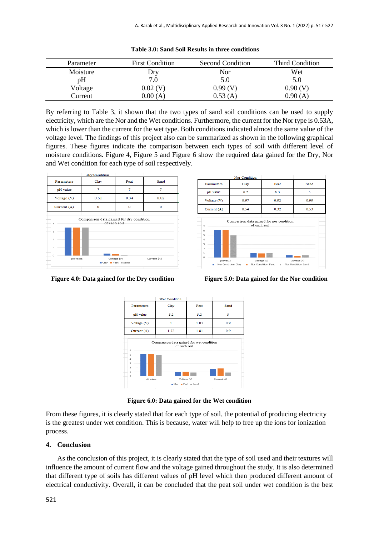| Parameter | <b>First Condition</b> | <b>Second Condition</b> | <b>Third Condition</b> |
|-----------|------------------------|-------------------------|------------------------|
| Moisture  | Dry                    | Nor                     | Wet                    |
| pH        | 7.0                    | 5.0                     | 5.0                    |
| Voltage   | $0.02$ (V)             | 0.99(V)                 | 0.90(V)                |
| Current   | 0.00(A)                | 0.53(A)                 | 0.90(A)                |

|  |  |  |  |  |  |  |  | Table 3.0: Sand Soil Results in three conditions |
|--|--|--|--|--|--|--|--|--------------------------------------------------|
|--|--|--|--|--|--|--|--|--------------------------------------------------|

By referring to Table 3, it shown that the two types of sand soil conditions can be used to supply electricity, which are the Nor and the Wet conditions. Furthermore, the current for the Nor type is 0.53A, which is lower than the current for the wet type. Both conditions indicated almost the same value of the voltage level. The findings of this project also can be summarized as shown in the following graphical figures. These figures indicate the comparison between each types of soil with different level of moisture conditions. Figure 4, Figure 5 and Figure 6 show the required data gained for the Dry, Nor and Wet condition for each type of soil respectively.









**Figure 6.0: Data gained for the Wet condition**

From these figures, it is clearly stated that for each type of soil, the potential of producing electricity is the greatest under wet condition. This is because, water will help to free up the ions for ionization process.

# **4. Conclusion**

As the conclusion of this project, it is clearly stated that the type of soil used and their textures will influence the amount of current flow and the voltage gained throughout the study. It is also determined that different type of soils has different values of pH level which then produced different amount of electrical conductivity. Overall, it can be concluded that the peat soil under wet condition is the best